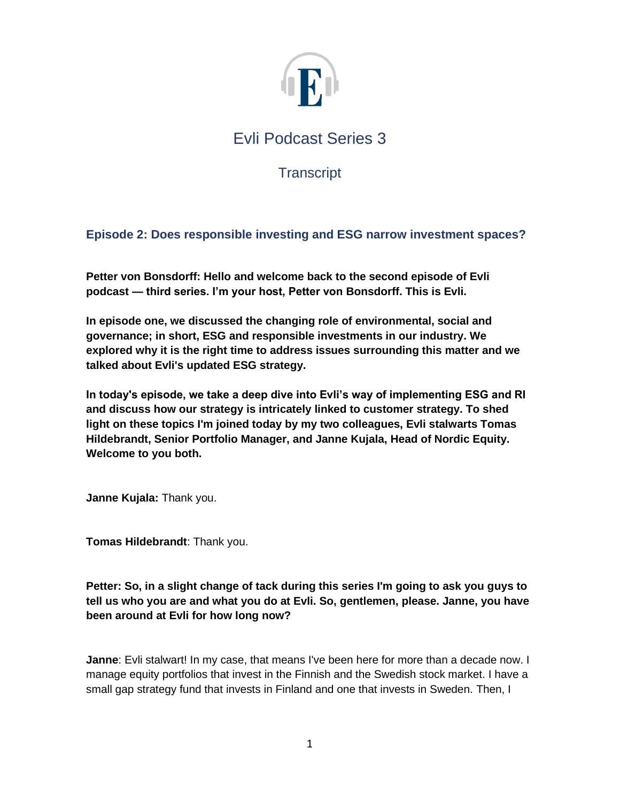

**Transcript** 

# **Episode 2: Does responsible investing and ESG narrow investment spaces?**

**Petter von Bonsdorff: Hello and welcome back to the second episode of Evli podcast — third series. I'm your host, Petter von Bonsdorff. This is Evli.**

**In episode one, we discussed the changing role of environmental, social and governance; in short, ESG and responsible investments in our industry. We explored why it is the right time to address issues surrounding this matter and we talked about Evli's updated ESG strategy.** 

**In today's episode, we take a deep dive into Evli's way of implementing ESG and RI and discuss how our strategy is intricately linked to customer strategy. To shed light on these topics I'm joined today by my two colleagues, Evli stalwarts Tomas Hildebrandt, Senior Portfolio Manager, and Janne Kujala, Head of Nordic Equity. Welcome to you both.** 

**Janne Kujala:** Thank you.

**Tomas Hildebrandt**: Thank you.

**Petter: So, in a slight change of tack during this series I'm going to ask you guys to tell us who you are and what you do at Evli. So, gentlemen, please. Janne, you have been around at Evli for how long now?**

**Janne**: Evli stalwart! In my case, that means I've been here for more than a decade now. I manage equity portfolios that invest in the Finnish and the Swedish stock market. I have a small gap strategy fund that invests in Finland and one that invests in Sweden. Then, I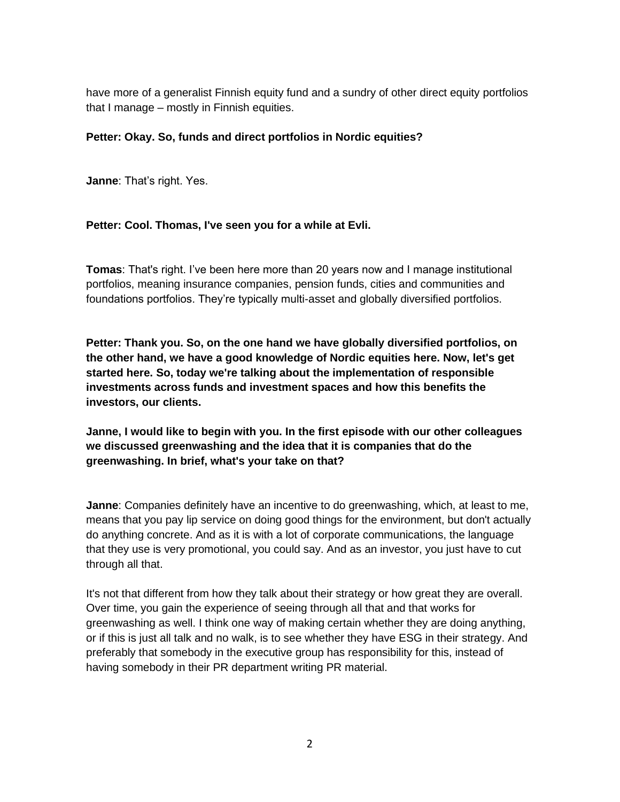have more of a generalist Finnish equity fund and a sundry of other direct equity portfolios that I manage – mostly in Finnish equities.

## **Petter: Okay. So, funds and direct portfolios in Nordic equities?**

**Janne**: That's right. Yes.

## **Petter: Cool. Thomas, I've seen you for a while at Evli.**

**Tomas**: That's right. I've been here more than 20 years now and I manage institutional portfolios, meaning insurance companies, pension funds, cities and communities and foundations portfolios. They're typically multi-asset and globally diversified portfolios.

**Petter: Thank you. So, on the one hand we have globally diversified portfolios, on the other hand, we have a good knowledge of Nordic equities here. Now, let's get started here. So, today we're talking about the implementation of responsible investments across funds and investment spaces and how this benefits the investors, our clients.** 

**Janne, I would like to begin with you. In the first episode with our other colleagues we discussed greenwashing and the idea that it is companies that do the greenwashing. In brief, what's your take on that?** 

**Janne**: Companies definitely have an incentive to do greenwashing, which, at least to me, means that you pay lip service on doing good things for the environment, but don't actually do anything concrete. And as it is with a lot of corporate communications, the language that they use is very promotional, you could say. And as an investor, you just have to cut through all that.

It's not that different from how they talk about their strategy or how great they are overall. Over time, you gain the experience of seeing through all that and that works for greenwashing as well. I think one way of making certain whether they are doing anything, or if this is just all talk and no walk, is to see whether they have ESG in their strategy. And preferably that somebody in the executive group has responsibility for this, instead of having somebody in their PR department writing PR material.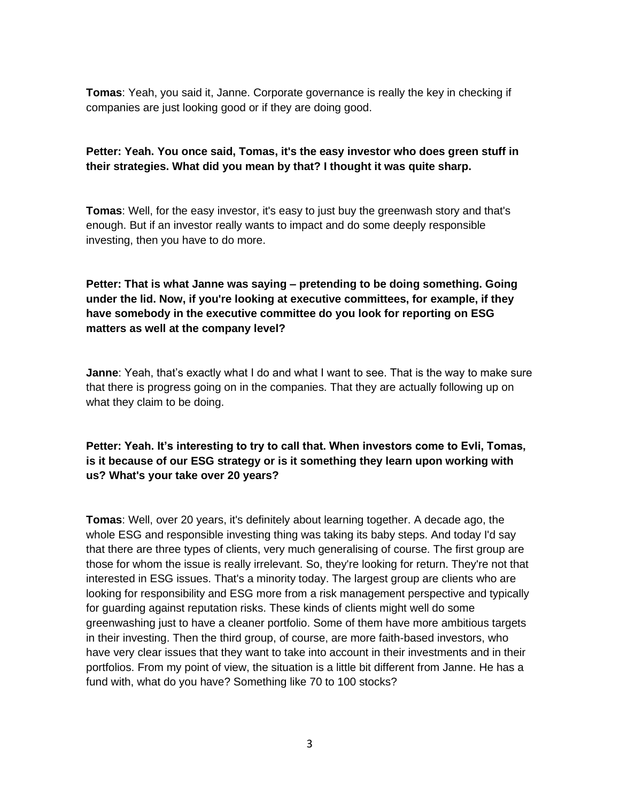**Tomas**: Yeah, you said it, Janne. Corporate governance is really the key in checking if companies are just looking good or if they are doing good.

## **Petter: Yeah. You once said, Tomas, it's the easy investor who does green stuff in their strategies. What did you mean by that? I thought it was quite sharp.**

**Tomas**: Well, for the easy investor, it's easy to just buy the greenwash story and that's enough. But if an investor really wants to impact and do some deeply responsible investing, then you have to do more.

# **Petter: That is what Janne was saying – pretending to be doing something. Going under the lid. Now, if you're looking at executive committees, for example, if they have somebody in the executive committee do you look for reporting on ESG matters as well at the company level?**

**Janne**: Yeah, that's exactly what I do and what I want to see. That is the way to make sure that there is progress going on in the companies. That they are actually following up on what they claim to be doing.

# **Petter: Yeah. It's interesting to try to call that. When investors come to Evli, Tomas, is it because of our ESG strategy or is it something they learn upon working with us? What's your take over 20 years?**

**Tomas**: Well, over 20 years, it's definitely about learning together. A decade ago, the whole ESG and responsible investing thing was taking its baby steps. And today I'd say that there are three types of clients, very much generalising of course. The first group are those for whom the issue is really irrelevant. So, they're looking for return. They're not that interested in ESG issues. That's a minority today. The largest group are clients who are looking for responsibility and ESG more from a risk management perspective and typically for guarding against reputation risks. These kinds of clients might well do some greenwashing just to have a cleaner portfolio. Some of them have more ambitious targets in their investing. Then the third group, of course, are more faith-based investors, who have very clear issues that they want to take into account in their investments and in their portfolios. From my point of view, the situation is a little bit different from Janne. He has a fund with, what do you have? Something like 70 to 100 stocks?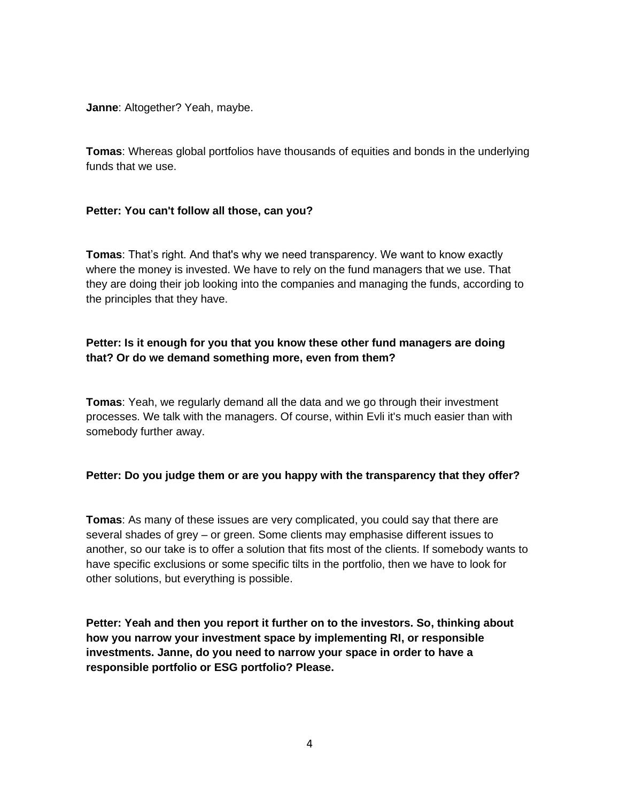**Janne**: Altogether? Yeah, maybe.

**Tomas**: Whereas global portfolios have thousands of equities and bonds in the underlying funds that we use.

#### **Petter: You can't follow all those, can you?**

**Tomas**: That's right. And that's why we need transparency. We want to know exactly where the money is invested. We have to rely on the fund managers that we use. That they are doing their job looking into the companies and managing the funds, according to the principles that they have.

# **Petter: Is it enough for you that you know these other fund managers are doing that? Or do we demand something more, even from them?**

**Tomas**: Yeah, we regularly demand all the data and we go through their investment processes. We talk with the managers. Of course, within Evli it's much easier than with somebody further away.

# **Petter: Do you judge them or are you happy with the transparency that they offer?**

**Tomas**: As many of these issues are very complicated, you could say that there are several shades of grey – or green. Some clients may emphasise different issues to another, so our take is to offer a solution that fits most of the clients. If somebody wants to have specific exclusions or some specific tilts in the portfolio, then we have to look for other solutions, but everything is possible.

**Petter: Yeah and then you report it further on to the investors. So, thinking about how you narrow your investment space by implementing RI, or responsible investments. Janne, do you need to narrow your space in order to have a responsible portfolio or ESG portfolio? Please.**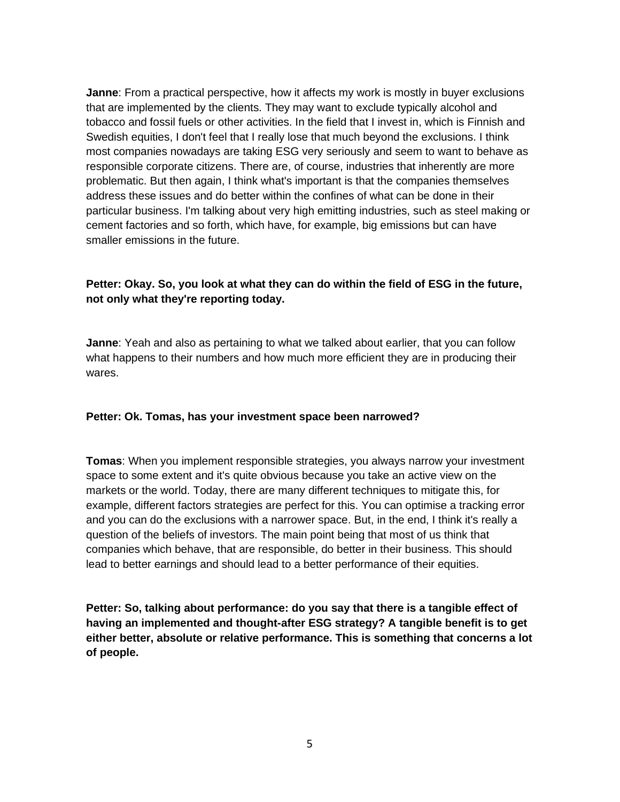**Janne**: From a practical perspective, how it affects my work is mostly in buyer exclusions that are implemented by the clients. They may want to exclude typically alcohol and tobacco and fossil fuels or other activities. In the field that I invest in, which is Finnish and Swedish equities, I don't feel that I really lose that much beyond the exclusions. I think most companies nowadays are taking ESG very seriously and seem to want to behave as responsible corporate citizens. There are, of course, industries that inherently are more problematic. But then again, I think what's important is that the companies themselves address these issues and do better within the confines of what can be done in their particular business. I'm talking about very high emitting industries, such as steel making or cement factories and so forth, which have, for example, big emissions but can have smaller emissions in the future.

# **Petter: Okay. So, you look at what they can do within the field of ESG in the future, not only what they're reporting today.**

**Janne**: Yeah and also as pertaining to what we talked about earlier, that you can follow what happens to their numbers and how much more efficient they are in producing their wares.

#### **Petter: Ok. Tomas, has your investment space been narrowed?**

**Tomas**: When you implement responsible strategies, you always narrow your investment space to some extent and it's quite obvious because you take an active view on the markets or the world. Today, there are many different techniques to mitigate this, for example, different factors strategies are perfect for this. You can optimise a tracking error and you can do the exclusions with a narrower space. But, in the end, I think it's really a question of the beliefs of investors. The main point being that most of us think that companies which behave, that are responsible, do better in their business. This should lead to better earnings and should lead to a better performance of their equities.

**Petter: So, talking about performance: do you say that there is a tangible effect of having an implemented and thought-after ESG strategy? A tangible benefit is to get either better, absolute or relative performance. This is something that concerns a lot of people.**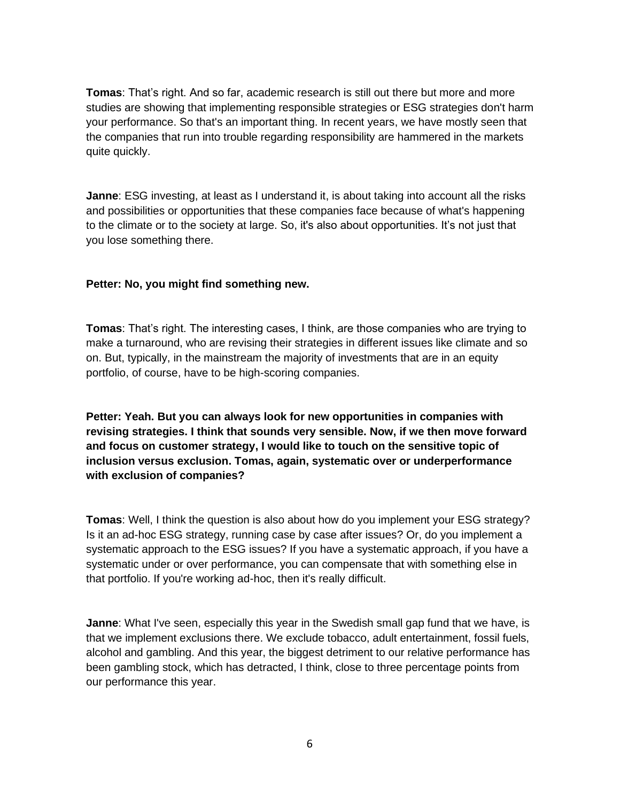**Tomas**: That's right. And so far, academic research is still out there but more and more studies are showing that implementing responsible strategies or ESG strategies don't harm your performance. So that's an important thing. In recent years, we have mostly seen that the companies that run into trouble regarding responsibility are hammered in the markets quite quickly.

**Janne**: ESG investing, at least as I understand it, is about taking into account all the risks and possibilities or opportunities that these companies face because of what's happening to the climate or to the society at large. So, it's also about opportunities. It's not just that you lose something there.

## **Petter: No, you might find something new.**

**Tomas**: That's right. The interesting cases, I think, are those companies who are trying to make a turnaround, who are revising their strategies in different issues like climate and so on. But, typically, in the mainstream the majority of investments that are in an equity portfolio, of course, have to be high-scoring companies.

**Petter: Yeah. But you can always look for new opportunities in companies with revising strategies. I think that sounds very sensible. Now, if we then move forward and focus on customer strategy, I would like to touch on the sensitive topic of inclusion versus exclusion. Tomas, again, systematic over or underperformance with exclusion of companies?**

**Tomas**: Well, I think the question is also about how do you implement your ESG strategy? Is it an ad-hoc ESG strategy, running case by case after issues? Or, do you implement a systematic approach to the ESG issues? If you have a systematic approach, if you have a systematic under or over performance, you can compensate that with something else in that portfolio. If you're working ad-hoc, then it's really difficult.

**Janne**: What I've seen, especially this year in the Swedish small gap fund that we have, is that we implement exclusions there. We exclude tobacco, adult entertainment, fossil fuels, alcohol and gambling. And this year, the biggest detriment to our relative performance has been gambling stock, which has detracted, I think, close to three percentage points from our performance this year.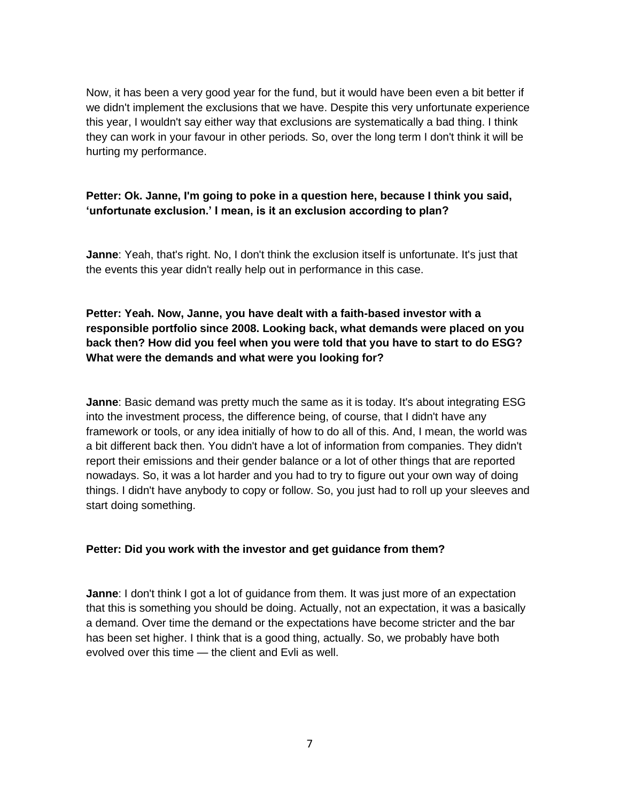Now, it has been a very good year for the fund, but it would have been even a bit better if we didn't implement the exclusions that we have. Despite this very unfortunate experience this year, I wouldn't say either way that exclusions are systematically a bad thing. I think they can work in your favour in other periods. So, over the long term I don't think it will be hurting my performance.

# **Petter: Ok. Janne, I'm going to poke in a question here, because I think you said, 'unfortunate exclusion.' I mean, is it an exclusion according to plan?**

**Janne**: Yeah, that's right. No, I don't think the exclusion itself is unfortunate. It's just that the events this year didn't really help out in performance in this case.

**Petter: Yeah. Now, Janne, you have dealt with a faith-based investor with a responsible portfolio since 2008. Looking back, what demands were placed on you back then? How did you feel when you were told that you have to start to do ESG? What were the demands and what were you looking for?** 

**Janne**: Basic demand was pretty much the same as it is today. It's about integrating ESG into the investment process, the difference being, of course, that I didn't have any framework or tools, or any idea initially of how to do all of this. And, I mean, the world was a bit different back then. You didn't have a lot of information from companies. They didn't report their emissions and their gender balance or a lot of other things that are reported nowadays. So, it was a lot harder and you had to try to figure out your own way of doing things. I didn't have anybody to copy or follow. So, you just had to roll up your sleeves and start doing something.

#### **Petter: Did you work with the investor and get guidance from them?**

**Janne**: I don't think I got a lot of guidance from them. It was just more of an expectation that this is something you should be doing. Actually, not an expectation, it was a basically a demand. Over time the demand or the expectations have become stricter and the bar has been set higher. I think that is a good thing, actually. So, we probably have both evolved over this time — the client and Evli as well.